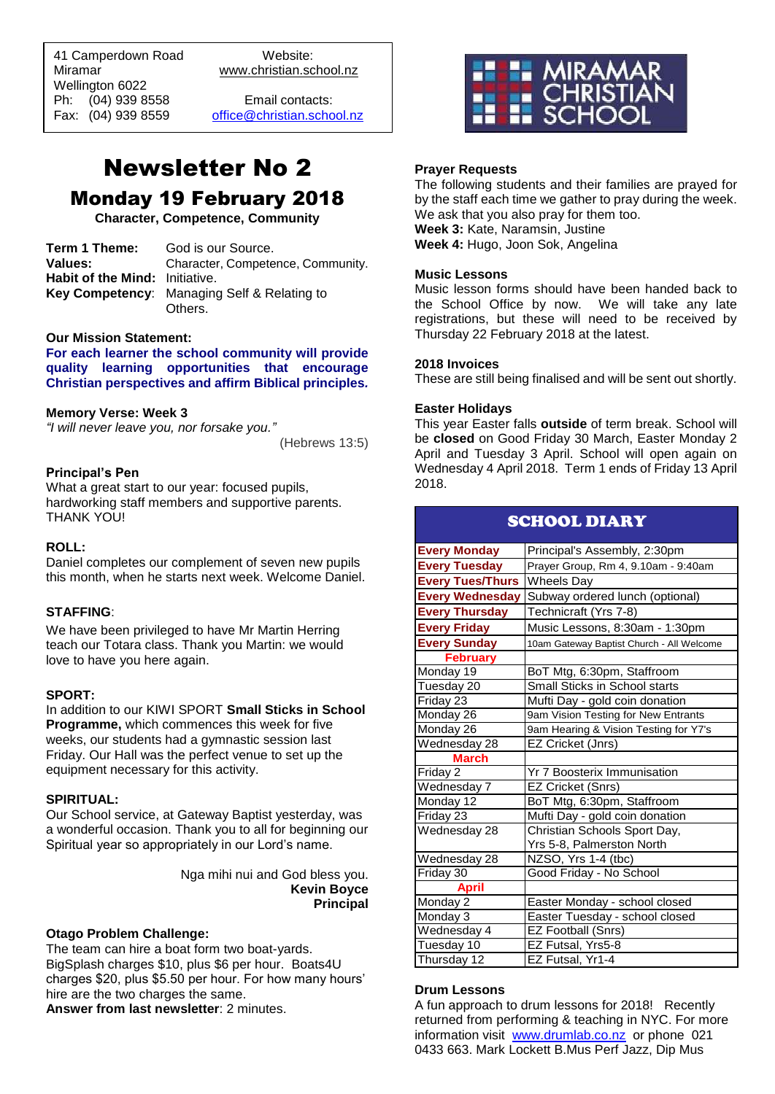41 Camperdown Road Website:<br>Miramar Www.christian.sc Wellington 6022 Ph: (04) 939 8558 Email contacts:

 $\overline{a}$ 

www.christian.school.nz

Fax: (04) 939 8559 [office@christian.school.nz](mailto:office@christian.school.nz)

# Newsletter No 2 Monday 19 February 2018

**Character, Competence, Community**

| Term 1 Theme:                         | God is our Source.                          |
|---------------------------------------|---------------------------------------------|
| Values:                               | Character, Competence, Community.           |
| <b>Habit of the Mind: Initiative.</b> |                                             |
|                                       | Key Competency: Managing Self & Relating to |
|                                       | Others.                                     |

#### **Our Mission Statement:**

**For each learner the school community will provide quality learning opportunities that encourage Christian perspectives and affirm Biblical principles***.*

#### **Memory Verse: Week 3**

*"I will never leave you, nor forsake you."*

(Hebrews 13:5)

#### **Principal's Pen**

What a great start to our year: focused pupils, hardworking staff members and supportive parents. THANK YOU!

## **ROLL:**

Daniel completes our complement of seven new pupils this month, when he starts next week. Welcome Daniel.

#### **STAFFING**:

We have been privileged to have Mr Martin Herring teach our Totara class. Thank you Martin: we would love to have you here again.

## **SPORT:**

In addition to our KIWI SPORT **Small Sticks in School Programme,** which commences this week for five weeks, our students had a gymnastic session last Friday. Our Hall was the perfect venue to set up the equipment necessary for this activity.

#### **SPIRITUAL:**

Our School service, at Gateway Baptist yesterday, was a wonderful occasion. Thank you to all for beginning our Spiritual year so appropriately in our Lord's name.

> Nga mihi nui and God bless you. **Kevin Boyce Principal**

#### **Otago Problem Challenge:**

The team can hire a boat form two boat-yards. BigSplash charges \$10, plus \$6 per hour. Boats4U charges \$20, plus \$5.50 per hour. For how many hours' hire are the two charges the same.

**Answer from last newsletter**: 2 minutes.



## **Prayer Requests**

The following students and their families are prayed for by the staff each time we gather to pray during the week. We ask that you also pray for them too. **Week 3:** Kate, Naramsin, Justine **Week 4:** Hugo, Joon Sok, Angelina

## **Music Lessons**

Music lesson forms should have been handed back to the School Office by now. We will take any late registrations, but these will need to be received by Thursday 22 February 2018 at the latest.

#### **2018 Invoices**

These are still being finalised and will be sent out shortly.

#### **Easter Holidays**

This year Easter falls **outside** of term break. School will be **closed** on Good Friday 30 March, Easter Monday 2 April and Tuesday 3 April. School will open again on Wednesday 4 April 2018. Term 1 ends of Friday 13 April 2018.

| <b>SCHOOL DIARY</b>     |                                                        |
|-------------------------|--------------------------------------------------------|
| <b>Every Monday</b>     | Principal's Assembly, 2:30pm                           |
| <b>Every Tuesday</b>    | Prayer Group, Rm 4, 9.10am - 9:40am                    |
| <b>Every Tues/Thurs</b> | <b>Wheels Day</b>                                      |
|                         | <b>Every Wednesday Subway ordered lunch (optional)</b> |
| <b>Every Thursday</b>   | Technicraft (Yrs 7-8)                                  |
| <b>Every Friday</b>     | Music Lessons, 8:30am - 1:30pm                         |
| <b>Every Sunday</b>     | 10am Gateway Baptist Church - All Welcome              |
| <b>February</b>         |                                                        |
| Monday 19               | BoT Mtg, 6:30pm, Staffroom                             |
| Tuesday 20              | Small Sticks in School starts                          |
| Friday 23               | Mufti Day - gold coin donation                         |
| Monday 26               | 9am Vision Testing for New Entrants                    |
| Monday 26               | 9am Hearing & Vision Testing for Y7's                  |
| Wednesday 28            | EZ Cricket (Jnrs)                                      |
| <b>March</b>            |                                                        |
| Friday <sub>2</sub>     | <b>Yr 7 Boosterix Immunisation</b>                     |
| Wednesday 7             | EZ Cricket (Snrs)                                      |
| Monday 12               | BoT Mtg, 6:30pm, Staffroom                             |
| Friday 23               | Mufti Day - gold coin donation                         |
| Wednesday 28            | Christian Schools Sport Day,                           |
|                         | Yrs 5-8, Palmerston North                              |
| Wednesday 28            | NZSO, Yrs 1-4 (tbc)                                    |
| Friday 30               | Good Friday - No School                                |
| <b>April</b>            |                                                        |
| Monday 2                | Easter Monday - school closed                          |
| Monday 3                | Easter Tuesday - school closed                         |
| Wednesday 4             | <b>EZ Football (Snrs)</b>                              |
| Tuesday 10              | EZ Futsal, Yrs5-8                                      |
| Thursday 12             | EZ Futsal, Yr1-4                                       |

## **Drum Lessons**

A fun approach to drum lessons for 2018! Recently returned from performing & teaching in NYC. For more information visit [www.drumlab.co.nz](http://www.drumlab.co.nz/) or phone 021 0433 663. Mark Lockett B.Mus Perf Jazz, Dip Mus